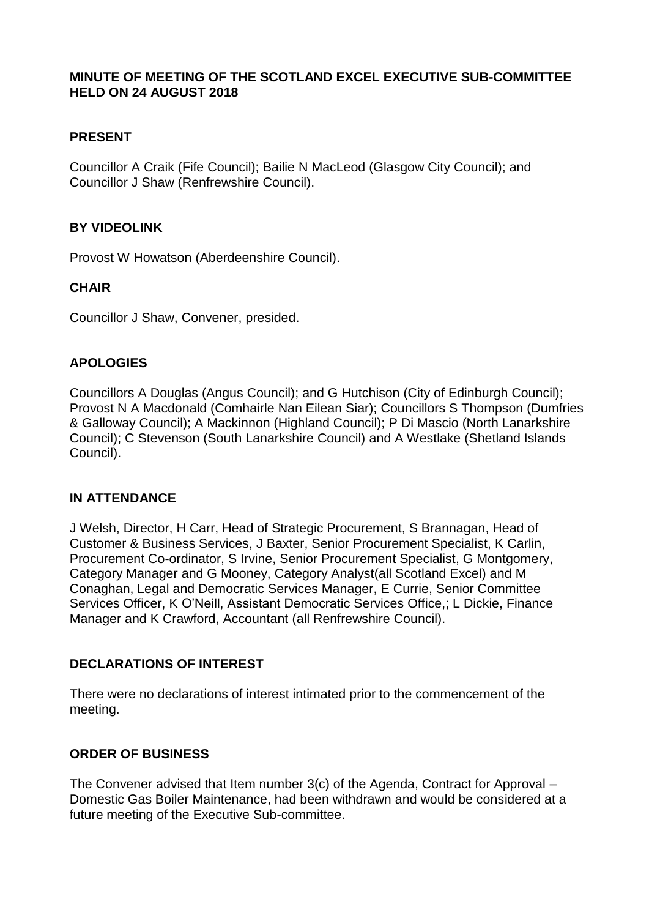#### **MINUTE OF MEETING OF THE SCOTLAND EXCEL EXECUTIVE SUB-COMMITTEE HELD ON 24 AUGUST 2018**

### **PRESENT**

Councillor A Craik (Fife Council); Bailie N MacLeod (Glasgow City Council); and Councillor J Shaw (Renfrewshire Council).

#### **BY VIDEOLINK**

Provost W Howatson (Aberdeenshire Council).

#### **CHAIR**

Councillor J Shaw, Convener, presided.

#### **APOLOGIES**

Councillors A Douglas (Angus Council); and G Hutchison (City of Edinburgh Council); Provost N A Macdonald (Comhairle Nan Eilean Siar); Councillors S Thompson (Dumfries & Galloway Council); A Mackinnon (Highland Council); P Di Mascio (North Lanarkshire Council); C Stevenson (South Lanarkshire Council) and A Westlake (Shetland Islands Council).

#### **IN ATTENDANCE**

J Welsh, Director, H Carr, Head of Strategic Procurement, S Brannagan, Head of Customer & Business Services, J Baxter, Senior Procurement Specialist, K Carlin, Procurement Co-ordinator, S Irvine, Senior Procurement Specialist, G Montgomery, Category Manager and G Mooney, Category Analyst(all Scotland Excel) and M Conaghan, Legal and Democratic Services Manager, E Currie, Senior Committee Services Officer, K O'Neill, Assistant Democratic Services Office,; L Dickie, Finance Manager and K Crawford, Accountant (all Renfrewshire Council).

#### **DECLARATIONS OF INTEREST**

There were no declarations of interest intimated prior to the commencement of the meeting.

#### **ORDER OF BUSINESS**

The Convener advised that Item number 3(c) of the Agenda, Contract for Approval – Domestic Gas Boiler Maintenance, had been withdrawn and would be considered at a future meeting of the Executive Sub-committee.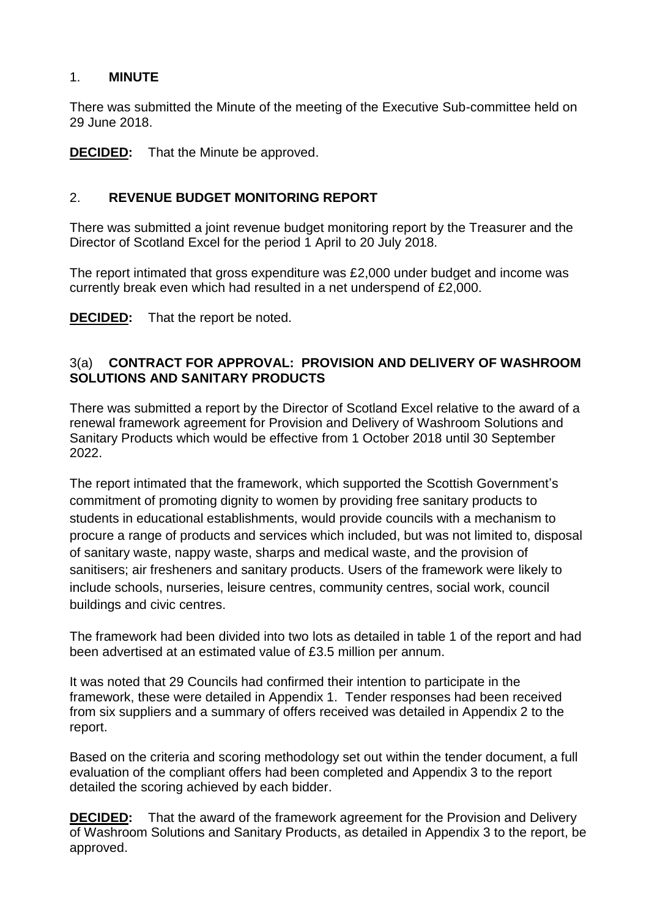# 1. **MINUTE**

There was submitted the Minute of the meeting of the Executive Sub-committee held on 29 June 2018.

**DECIDED:** That the Minute be approved.

### 2. **REVENUE BUDGET MONITORING REPORT**

There was submitted a joint revenue budget monitoring report by the Treasurer and the Director of Scotland Excel for the period 1 April to 20 July 2018.

The report intimated that gross expenditure was £2,000 under budget and income was currently break even which had resulted in a net underspend of £2,000.

**DECIDED:** That the report be noted.

### 3(a) **CONTRACT FOR APPROVAL: PROVISION AND DELIVERY OF WASHROOM SOLUTIONS AND SANITARY PRODUCTS**

There was submitted a report by the Director of Scotland Excel relative to the award of a renewal framework agreement for Provision and Delivery of Washroom Solutions and Sanitary Products which would be effective from 1 October 2018 until 30 September 2022.

The report intimated that the framework, which supported the Scottish Government's commitment of promoting dignity to women by providing free sanitary products to students in educational establishments, would provide councils with a mechanism to procure a range of products and services which included, but was not limited to, disposal of sanitary waste, nappy waste, sharps and medical waste, and the provision of sanitisers; air fresheners and sanitary products. Users of the framework were likely to include schools, nurseries, leisure centres, community centres, social work, council buildings and civic centres.

The framework had been divided into two lots as detailed in table 1 of the report and had been advertised at an estimated value of £3.5 million per annum.

It was noted that 29 Councils had confirmed their intention to participate in the framework, these were detailed in Appendix 1. Tender responses had been received from six suppliers and a summary of offers received was detailed in Appendix 2 to the report.

Based on the criteria and scoring methodology set out within the tender document, a full evaluation of the compliant offers had been completed and Appendix 3 to the report detailed the scoring achieved by each bidder.

**DECIDED:** That the award of the framework agreement for the Provision and Delivery of Washroom Solutions and Sanitary Products, as detailed in Appendix 3 to the report, be approved.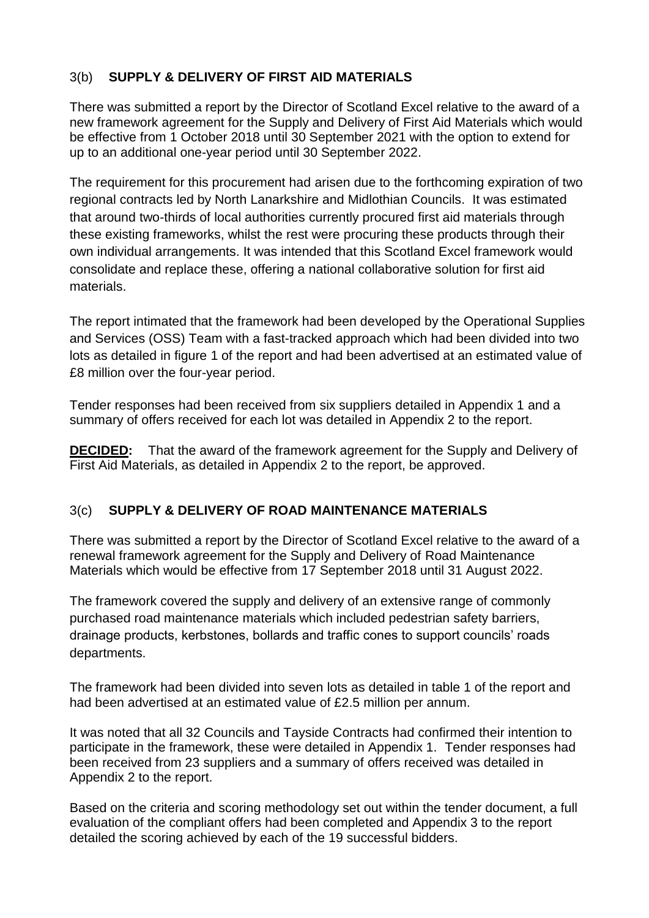# 3(b) **SUPPLY & DELIVERY OF FIRST AID MATERIALS**

There was submitted a report by the Director of Scotland Excel relative to the award of a new framework agreement for the Supply and Delivery of First Aid Materials which would be effective from 1 October 2018 until 30 September 2021 with the option to extend for up to an additional one-year period until 30 September 2022.

The requirement for this procurement had arisen due to the forthcoming expiration of two regional contracts led by North Lanarkshire and Midlothian Councils. It was estimated that around two-thirds of local authorities currently procured first aid materials through these existing frameworks, whilst the rest were procuring these products through their own individual arrangements. It was intended that this Scotland Excel framework would consolidate and replace these, offering a national collaborative solution for first aid materials.

The report intimated that the framework had been developed by the Operational Supplies and Services (OSS) Team with a fast-tracked approach which had been divided into two lots as detailed in figure 1 of the report and had been advertised at an estimated value of £8 million over the four-year period.

Tender responses had been received from six suppliers detailed in Appendix 1 and a summary of offers received for each lot was detailed in Appendix 2 to the report.

**DECIDED:** That the award of the framework agreement for the Supply and Delivery of First Aid Materials, as detailed in Appendix 2 to the report, be approved.

# 3(c) **SUPPLY & DELIVERY OF ROAD MAINTENANCE MATERIALS**

There was submitted a report by the Director of Scotland Excel relative to the award of a renewal framework agreement for the Supply and Delivery of Road Maintenance Materials which would be effective from 17 September 2018 until 31 August 2022.

The framework covered the supply and delivery of an extensive range of commonly purchased road maintenance materials which included pedestrian safety barriers, drainage products, kerbstones, bollards and traffic cones to support councils' roads departments.

The framework had been divided into seven lots as detailed in table 1 of the report and had been advertised at an estimated value of £2.5 million per annum.

It was noted that all 32 Councils and Tayside Contracts had confirmed their intention to participate in the framework, these were detailed in Appendix 1. Tender responses had been received from 23 suppliers and a summary of offers received was detailed in Appendix 2 to the report.

Based on the criteria and scoring methodology set out within the tender document, a full evaluation of the compliant offers had been completed and Appendix 3 to the report detailed the scoring achieved by each of the 19 successful bidders.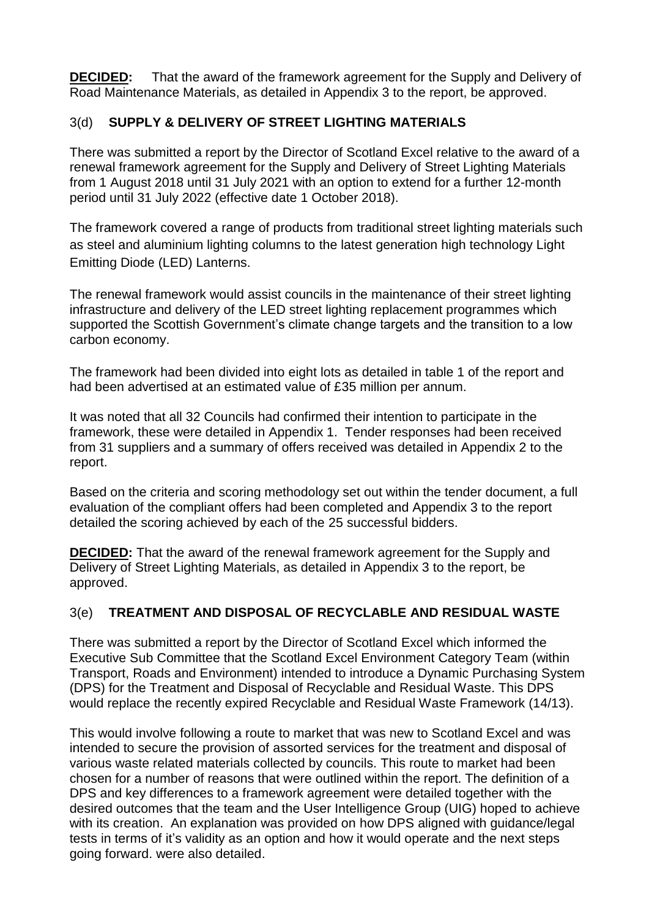**DECIDED:** That the award of the framework agreement for the Supply and Delivery of Road Maintenance Materials, as detailed in Appendix 3 to the report, be approved.

# 3(d) **SUPPLY & DELIVERY OF STREET LIGHTING MATERIALS**

There was submitted a report by the Director of Scotland Excel relative to the award of a renewal framework agreement for the Supply and Delivery of Street Lighting Materials from 1 August 2018 until 31 July 2021 with an option to extend for a further 12-month period until 31 July 2022 (effective date 1 October 2018).

The framework covered a range of products from traditional street lighting materials such as steel and aluminium lighting columns to the latest generation high technology Light Emitting Diode (LED) Lanterns.

The renewal framework would assist councils in the maintenance of their street lighting infrastructure and delivery of the LED street lighting replacement programmes which supported the Scottish Government's climate change targets and the transition to a low carbon economy.

The framework had been divided into eight lots as detailed in table 1 of the report and had been advertised at an estimated value of £35 million per annum.

It was noted that all 32 Councils had confirmed their intention to participate in the framework, these were detailed in Appendix 1. Tender responses had been received from 31 suppliers and a summary of offers received was detailed in Appendix 2 to the report.

Based on the criteria and scoring methodology set out within the tender document, a full evaluation of the compliant offers had been completed and Appendix 3 to the report detailed the scoring achieved by each of the 25 successful bidders.

**DECIDED:** That the award of the renewal framework agreement for the Supply and Delivery of Street Lighting Materials, as detailed in Appendix 3 to the report, be approved.

#### 3(e) **TREATMENT AND DISPOSAL OF RECYCLABLE AND RESIDUAL WASTE**

There was submitted a report by the Director of Scotland Excel which informed the Executive Sub Committee that the Scotland Excel Environment Category Team (within Transport, Roads and Environment) intended to introduce a Dynamic Purchasing System (DPS) for the Treatment and Disposal of Recyclable and Residual Waste. This DPS would replace the recently expired Recyclable and Residual Waste Framework (14/13).

This would involve following a route to market that was new to Scotland Excel and was intended to secure the provision of assorted services for the treatment and disposal of various waste related materials collected by councils. This route to market had been chosen for a number of reasons that were outlined within the report. The definition of a DPS and key differences to a framework agreement were detailed together with the desired outcomes that the team and the User Intelligence Group (UIG) hoped to achieve with its creation. An explanation was provided on how DPS aligned with guidance/legal tests in terms of it's validity as an option and how it would operate and the next steps going forward. were also detailed.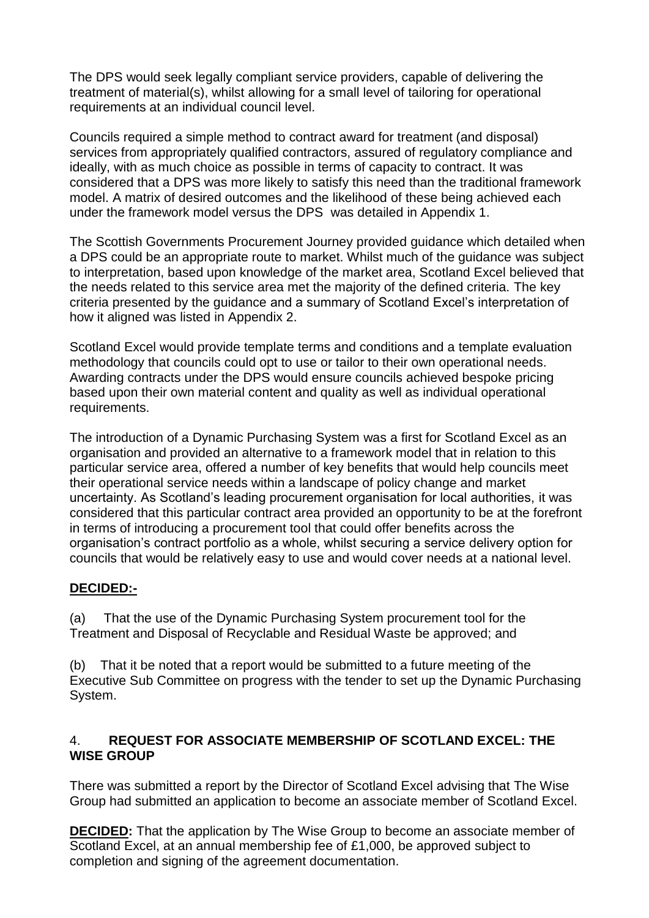The DPS would seek legally compliant service providers, capable of delivering the treatment of material(s), whilst allowing for a small level of tailoring for operational requirements at an individual council level.

Councils required a simple method to contract award for treatment (and disposal) services from appropriately qualified contractors, assured of regulatory compliance and ideally, with as much choice as possible in terms of capacity to contract. It was considered that a DPS was more likely to satisfy this need than the traditional framework model. A matrix of desired outcomes and the likelihood of these being achieved each under the framework model versus the DPS was detailed in Appendix 1.

The Scottish Governments Procurement Journey provided guidance which detailed when a DPS could be an appropriate route to market. Whilst much of the guidance was subject to interpretation, based upon knowledge of the market area, Scotland Excel believed that the needs related to this service area met the majority of the defined criteria. The key criteria presented by the guidance and a summary of Scotland Excel's interpretation of how it aligned was listed in Appendix 2.

Scotland Excel would provide template terms and conditions and a template evaluation methodology that councils could opt to use or tailor to their own operational needs. Awarding contracts under the DPS would ensure councils achieved bespoke pricing based upon their own material content and quality as well as individual operational requirements.

The introduction of a Dynamic Purchasing System was a first for Scotland Excel as an organisation and provided an alternative to a framework model that in relation to this particular service area, offered a number of key benefits that would help councils meet their operational service needs within a landscape of policy change and market uncertainty. As Scotland's leading procurement organisation for local authorities, it was considered that this particular contract area provided an opportunity to be at the forefront in terms of introducing a procurement tool that could offer benefits across the organisation's contract portfolio as a whole, whilst securing a service delivery option for councils that would be relatively easy to use and would cover needs at a national level.

# **DECIDED:-**

(a) That the use of the Dynamic Purchasing System procurement tool for the Treatment and Disposal of Recyclable and Residual Waste be approved; and

(b) That it be noted that a report would be submitted to a future meeting of the Executive Sub Committee on progress with the tender to set up the Dynamic Purchasing System.

# 4. **REQUEST FOR ASSOCIATE MEMBERSHIP OF SCOTLAND EXCEL: THE WISE GROUP**

There was submitted a report by the Director of Scotland Excel advising that The Wise Group had submitted an application to become an associate member of Scotland Excel.

**DECIDED:** That the application by The Wise Group to become an associate member of Scotland Excel, at an annual membership fee of £1,000, be approved subject to completion and signing of the agreement documentation.